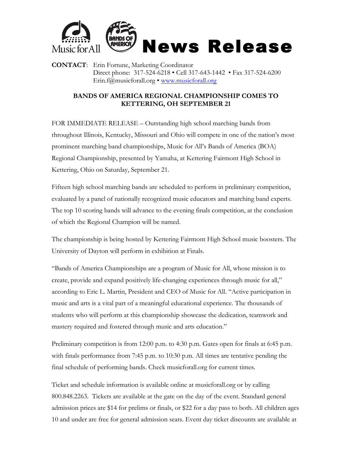

**CONTACT**: Erin Fortune, Marketing Coordinator Direct phone: 317-524-6218 • Cell 317-643-1442 • Fax 317-524-6200 Erin.f@musicforall.org • www.musicforall.org

## **BANDS OF AMERICA REGIONAL CHAMPIONSHIP COMES TO KETTERING, OH SEPTEMBER 21**

FOR IMMEDIATE RELEASE – Outstanding high school marching bands from throughout Illinois, Kentucky, Missouri and Ohio will compete in one of the nation's most prominent marching band championships, Music for All's Bands of America (BOA) Regional Championship, presented by Yamaha, at Kettering Fairmont High School in Kettering, Ohio on Saturday, September 21.

Fifteen high school marching bands are scheduled to perform in preliminary competition, evaluated by a panel of nationally recognized music educators and marching band experts. The top 10 scoring bands will advance to the evening finals competition, at the conclusion of which the Regional Champion will be named.

The championship is being hosted by Kettering Fairmont High School music boosters. The University of Dayton will perform in exhibition at Finals.

"Bands of America Championships are a program of Music for All, whose mission is to create, provide and expand positively life-changing experiences through music for all," according to Eric L. Martin, President and CEO of Music for All. "Active participation in music and arts is a vital part of a meaningful educational experience. The thousands of students who will perform at this championship showcase the dedication, teamwork and mastery required and fostered through music and arts education."

Preliminary competition is from 12:00 p.m. to 4:30 p.m. Gates open for finals at 6:45 p.m. with finals performance from 7:45 p.m. to 10:30 p.m. All times are tentative pending the final schedule of performing bands. Check musicforall.org for current times.

Ticket and schedule information is available online at musicforall.org or by calling 800.848.2263. Tickets are available at the gate on the day of the event. Standard general admission prices are \$14 for prelims or finals, or \$22 for a day pass to both. All children ages 10 and under are free for general admission seats. Event day ticket discounts are available at